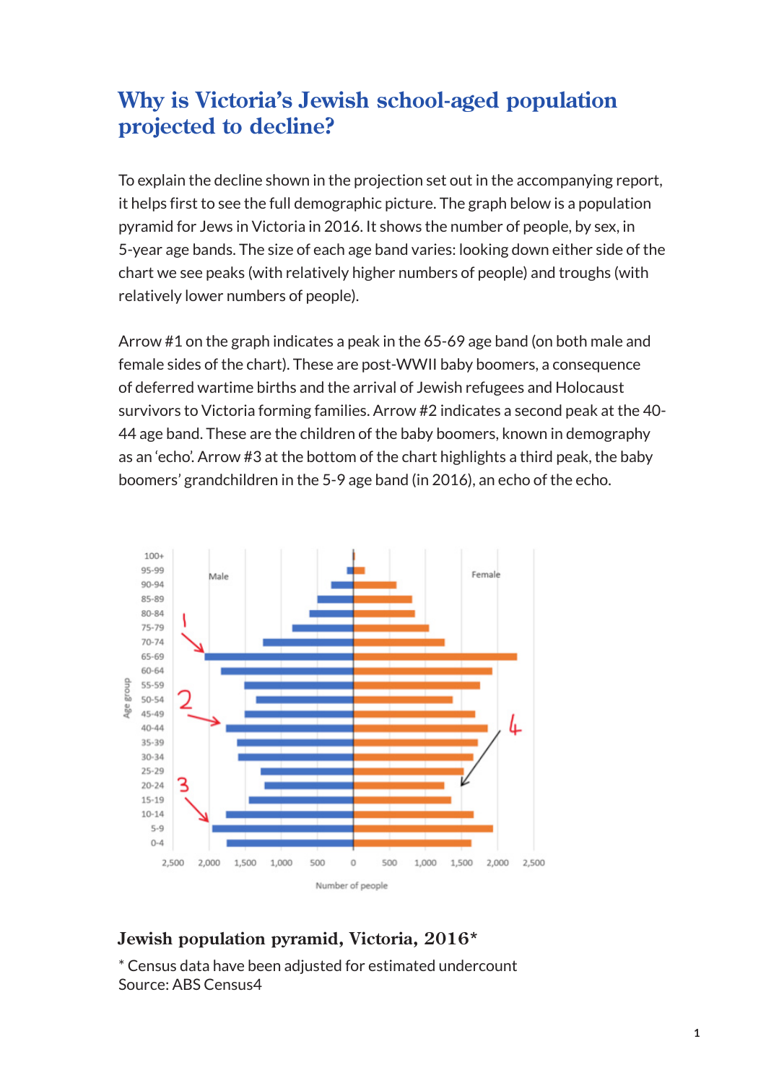## **Why is Victoria's Jewish school-aged population projected to decline?**

To explain the decline shown in the projection set out in the accompanying report, it helps first to see the full demographic picture. The graph below is a population pyramid for Jews in Victoria in 2016. It shows the number of people, by sex, in 5-year age bands. The size of each age band varies: looking down either side of the chart we see peaks (with relatively higher numbers of people) and troughs (with relatively lower numbers of people).

Arrow #1 on the graph indicates a peak in the 65-69 age band (on both male and female sides of the chart). These are post-WWII baby boomers, a consequence of deferred wartime births and the arrival of Jewish refugees and Holocaust survivors to Victoria forming families. Arrow #2 indicates a second peak at the 40- 44 age band. These are the children of the baby boomers, known in demography as an 'echo'. Arrow #3 at the bottom of the chart highlights a third peak, the baby boomers' grandchildren in the 5-9 age band (in 2016), an echo of the echo.



## **Jewish population pyramid, Victoria, 2016\***

\* Census data have been adjusted for estimated undercount Source: ABS Census4